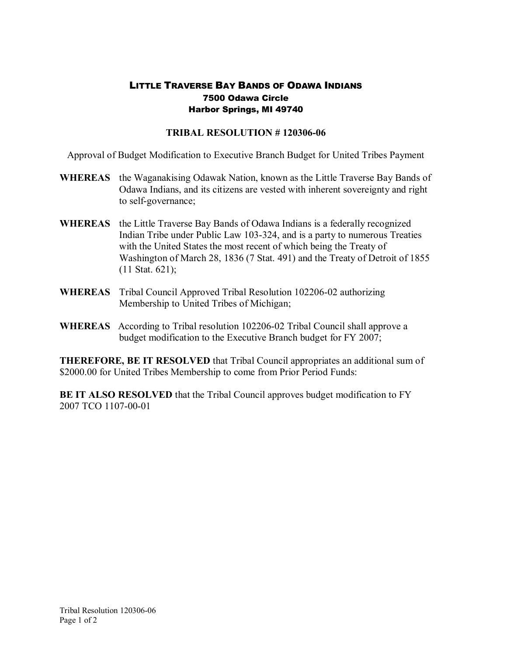## LITTLE TRAVERSE BAY BANDS OF ODAWA INDIANS 7500 Odawa Circle Harbor Springs, MI 49740

## **TRIBAL RESOLUTION #120306-06**

Approval of Budget Modification to Executive Branch Budget for United Tribes Payment

- **WHEREAS** the Waganakising Odawak Nation, known as the Little Traverse Bay Bands of Odawa Indians, and its citizens are vested with inherent sovereignty and right to self-governance;
- **WHEREAS** the Little Traverse Bay Bands of Odawa Indians is a federally recognized Indian Tribe under Public Law 103-324, and is a party to numerous Treaties with the United States the most recent of which being the Treaty of Washington of March 28, 1836 (7 Stat. 491) and the Treaty of Detroit of 1855 (11 Stat. 621);
- **WHEREAS** Tribal Council Approved Tribal Resolution 102206-02 authorizing Membership to United Tribes of Michigan;
- **WHEREAS** According to Tribal resolution 102206-02 Tribal Council shall approve a budget modification to the Executive Branch budget for FY 2007;

**THEREFORE, BE IT RESOLVED** that Tribal Council appropriates an additional sum of \$2000.00 for United Tribes Membership to come from Prior Period Funds:

**BE IT ALSO RESOLVED** that the Tribal Council approves budget modification to FY 2007 TCO 1107-00-01